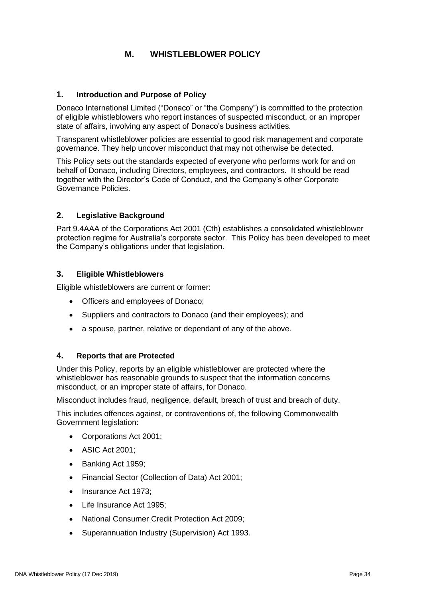# **M. WHISTLEBLOWER POLICY**

#### **1. Introduction and Purpose of Policy**

Donaco International Limited ("Donaco" or "the Company") is committed to the protection of eligible whistleblowers who report instances of suspected misconduct, or an improper state of affairs, involving any aspect of Donaco's business activities.

Transparent whistleblower policies are essential to good risk management and corporate governance. They help uncover misconduct that may not otherwise be detected.

This Policy sets out the standards expected of everyone who performs work for and on behalf of Donaco, including Directors, employees, and contractors. It should be read together with the Director's Code of Conduct, and the Company's other Corporate Governance Policies.

## **2. Legislative Background**

Part 9.4AAA of the Corporations Act 2001 (Cth) establishes a consolidated whistleblower protection regime for Australia's corporate sector. This Policy has been developed to meet the Company's obligations under that legislation.

#### **3. Eligible Whistleblowers**

Eligible whistleblowers are current or former:

- Officers and employees of Donaco;
- Suppliers and contractors to Donaco (and their employees); and
- a spouse, partner, relative or dependant of any of the above.

#### **4. Reports that are Protected**

Under this Policy, reports by an eligible whistleblower are protected where the whistleblower has reasonable grounds to suspect that the information concerns misconduct, or an improper state of affairs, for Donaco.

Misconduct includes fraud, negligence, default, breach of trust and breach of duty.

This includes offences against, or contraventions of, the following Commonwealth Government legislation:

- Corporations Act 2001;
- ASIC Act 2001;
- Banking Act 1959;
- Financial Sector (Collection of Data) Act 2001;
- Insurance Act 1973;
- Life Insurance Act 1995;
- National Consumer Credit Protection Act 2009;
- Superannuation Industry (Supervision) Act 1993.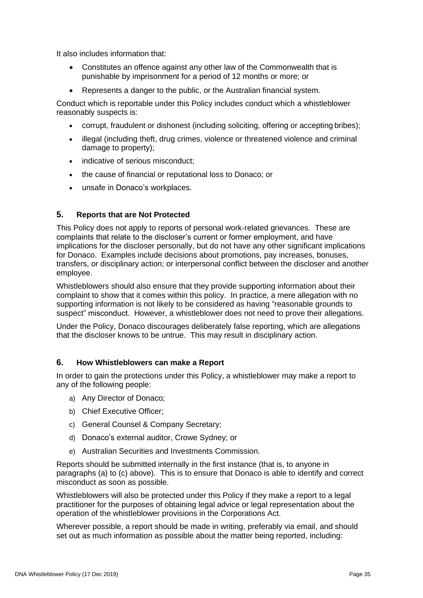It also includes information that:

- Constitutes an offence against any other law of the Commonwealth that is punishable by imprisonment for a period of 12 months or more; or
- Represents a danger to the public, or the Australian financial system.

Conduct which is reportable under this Policy includes conduct which a whistleblower reasonably suspects is:

- corrupt, fraudulent or dishonest (including soliciting, offering or accepting bribes);
- illegal (including theft, drug crimes, violence or threatened violence and criminal damage to property);
- indicative of serious misconduct;
- the cause of financial or reputational loss to Donaco; or
- unsafe in Donaco's workplaces.

# **5. Reports that are Not Protected**

This Policy does not apply to reports of personal work-related grievances. These are complaints that relate to the discloser's current or former employment, and have implications for the discloser personally, but do not have any other significant implications for Donaco. Examples include decisions about promotions, pay increases, bonuses, transfers, or disciplinary action; or interpersonal conflict between the discloser and another employee.

Whistleblowers should also ensure that they provide supporting information about their complaint to show that it comes within this policy. In practice, a mere allegation with no supporting information is not likely to be considered as having "reasonable grounds to suspect" misconduct. However, a whistleblower does not need to prove their allegations.

Under the Policy, Donaco discourages deliberately false reporting, which are allegations that the discloser knows to be untrue. This may result in disciplinary action.

## **6. How Whistleblowers can make a Report**

In order to gain the protections under this Policy, a whistleblower may make a report to any of the following people:

- a) Any Director of Donaco;
- b) Chief Executive Officer;
- c) General Counsel & Company Secretary;
- d) Donaco's external auditor, Crowe Sydney; or
- e) Australian Securities and Investments Commission.

Reports should be submitted internally in the first instance (that is, to anyone in paragraphs (a) to (c) above). This is to ensure that Donaco is able to identify and correct misconduct as soon as possible.

Whistleblowers will also be protected under this Policy if they make a report to a legal practitioner for the purposes of obtaining legal advice or legal representation about the operation of the whistleblower provisions in the Corporations Act.

Wherever possible, a report should be made in writing, preferably via email, and should set out as much information as possible about the matter being reported, including: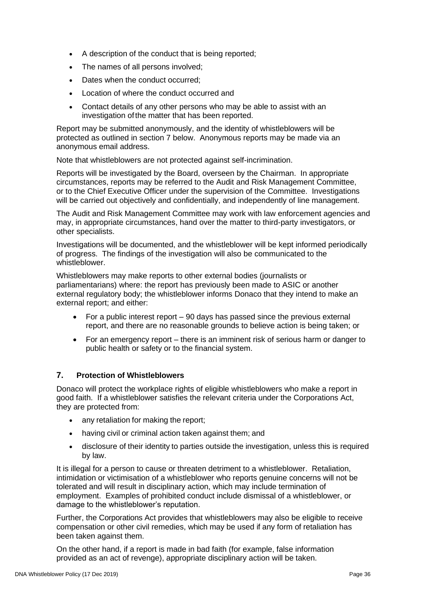- A description of the conduct that is being reported;
- The names of all persons involved;
- Dates when the conduct occurred;
- Location of where the conduct occurred and
- Contact details of any other persons who may be able to assist with an investigation ofthe matter that has been reported.

Report may be submitted anonymously, and the identity of whistleblowers will be protected as outlined in section 7 below. Anonymous reports may be made via an anonymous email address.

Note that whistleblowers are not protected against self-incrimination.

Reports will be investigated by the Board, overseen by the Chairman. In appropriate circumstances, reports may be referred to the Audit and Risk Management Committee, or to the Chief Executive Officer under the supervision of the Committee. Investigations will be carried out objectively and confidentially, and independently of line management.

The Audit and Risk Management Committee may work with law enforcement agencies and may, in appropriate circumstances, hand over the matter to third-party investigators, or other specialists.

Investigations will be documented, and the whistleblower will be kept informed periodically of progress. The findings of the investigation will also be communicated to the whistleblower.

Whistleblowers may make reports to other external bodies (journalists or parliamentarians) where: the report has previously been made to ASIC or another external regulatory body; the whistleblower informs Donaco that they intend to make an external report; and either:

- For a public interest report 90 days has passed since the previous external report, and there are no reasonable grounds to believe action is being taken; or
- For an emergency report there is an imminent risk of serious harm or danger to public health or safety or to the financial system.

## **7. Protection of Whistleblowers**

Donaco will protect the workplace rights of eligible whistleblowers who make a report in good faith. If a whistleblower satisfies the relevant criteria under the Corporations Act, they are protected from:

- any retaliation for making the report;
- having civil or criminal action taken against them; and
- disclosure of their identity to parties outside the investigation, unless this is required by law.

It is illegal for a person to cause or threaten detriment to a whistleblower. Retaliation, intimidation or victimisation of a whistleblower who reports genuine concerns will not be tolerated and will result in disciplinary action, which may include termination of employment. Examples of prohibited conduct include dismissal of a whistleblower, or damage to the whistleblower's reputation.

Further, the Corporations Act provides that whistleblowers may also be eligible to receive compensation or other civil remedies, which may be used if any form of retaliation has been taken against them.

On the other hand, if a report is made in bad faith (for example, false information provided as an act of revenge), appropriate disciplinary action will be taken.